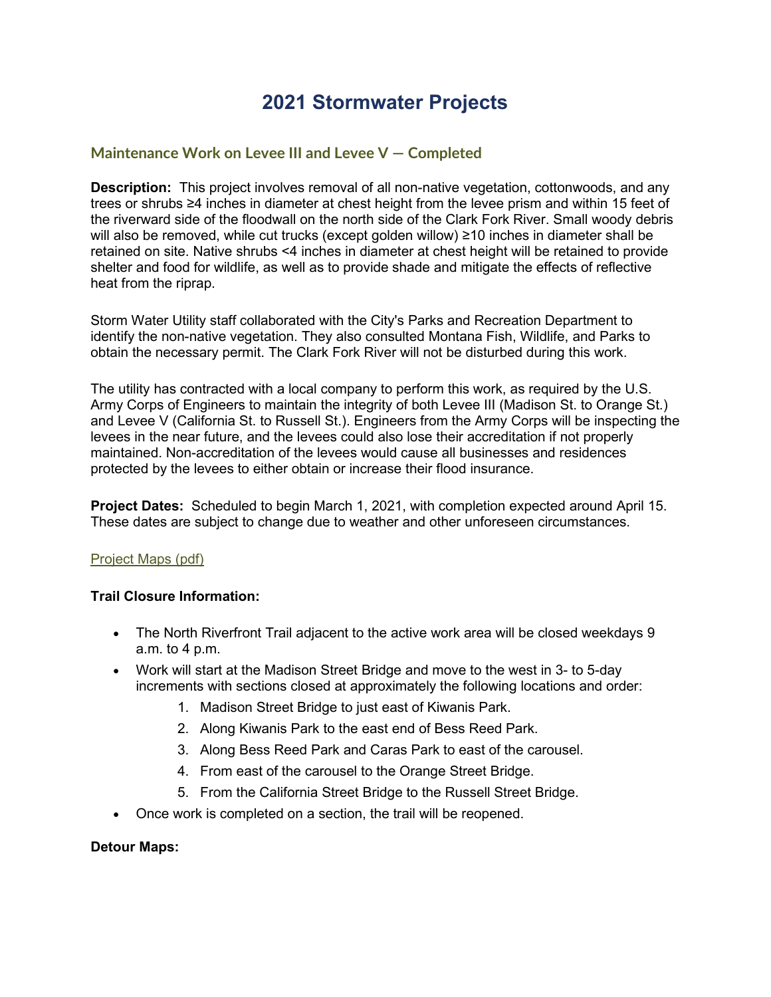# **2021 Stormwater Projects**

## **Maintenance Work on Levee III and Levee V — Completed**

**Description:** This project involves removal of all non-native vegetation, cottonwoods, and any trees or shrubs ≥4 inches in diameter at chest height from the levee prism and within 15 feet of the riverward side of the floodwall on the north side of the Clark Fork River. Small woody debris will also be removed, while cut trucks (except golden willow) ≥10 inches in diameter shall be retained on site. Native shrubs <4 inches in diameter at chest height will be retained to provide shelter and food for wildlife, as well as to provide shade and mitigate the effects of reflective heat from the riprap.

Storm Water Utility staff collaborated with the City's Parks and Recreation Department to identify the non-native vegetation. They also consulted Montana Fish, Wildlife, and Parks to obtain the necessary permit. The Clark Fork River will not be disturbed during this work.

The utility has contracted with a local company to perform this work, as required by the U.S. Army Corps of Engineers to maintain the integrity of both Levee III (Madison St. to Orange St.) and Levee V (California St. to Russell St.). Engineers from the Army Corps will be inspecting the levees in the near future, and the levees could also lose their accreditation if not properly maintained. Non-accreditation of the levees would cause all businesses and residences protected by the levees to either obtain or increase their flood insurance.

**Project Dates:** Scheduled to begin March 1, 2021, with completion expected around April 15. These dates are subject to change due to weather and other unforeseen circumstances.

### [Project Maps \(pdf\)](http://www.ci.missoula.mt.us/DocumentCenter/View/55780/Levee-Maintenance-Project-Maps-2021-3)

### **Trail Closure Information:**

- The North Riverfront Trail adjacent to the active work area will be closed weekdays 9 a.m. to 4 p.m.
- Work will start at the Madison Street Bridge and move to the west in 3- to 5-day increments with sections closed at approximately the following locations and order:
	- 1. Madison Street Bridge to just east of Kiwanis Park.
	- 2. Along Kiwanis Park to the east end of Bess Reed Park.
	- 3. Along Bess Reed Park and Caras Park to east of the carousel.
	- 4. From east of the carousel to the Orange Street Bridge.
	- 5. From the California Street Bridge to the Russell Street Bridge.
- Once work is completed on a section, the trail will be reopened.

#### **Detour Maps:**